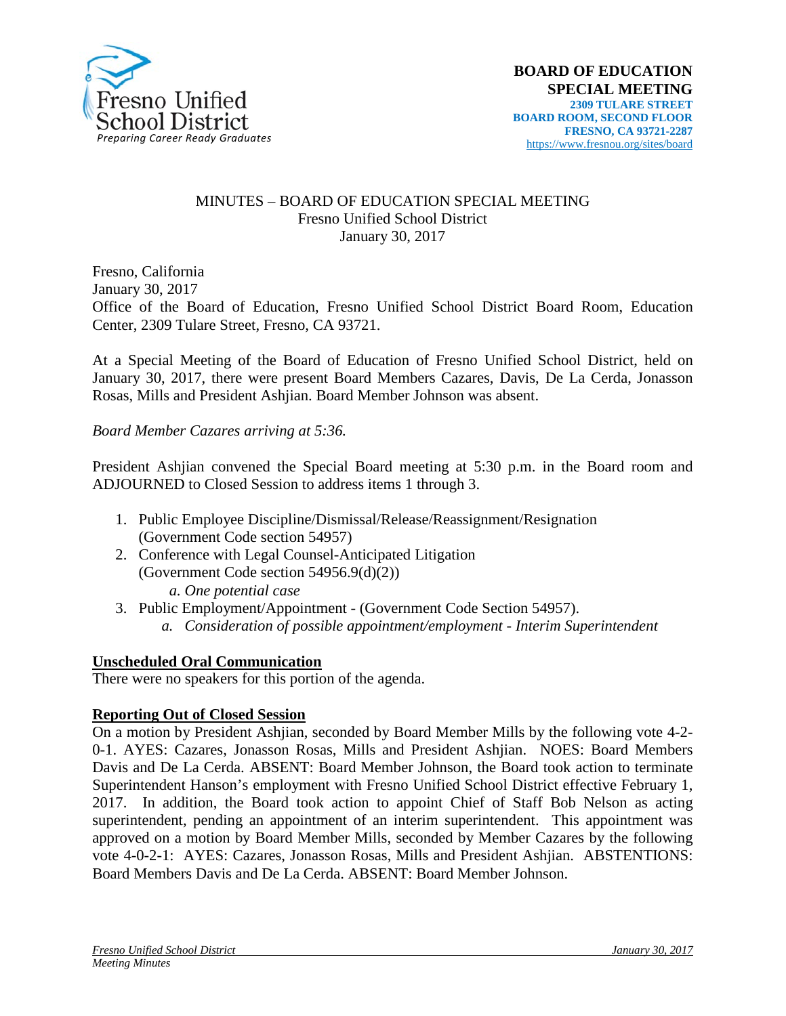

#### MINUTES – BOARD OF EDUCATION SPECIAL MEETING Fresno Unified School District January 30, 2017

Fresno, California January 30, 2017 Office of the Board of Education, Fresno Unified School District Board Room, Education Center, 2309 Tulare Street, Fresno, CA 93721.

At a Special Meeting of the Board of Education of Fresno Unified School District, held on January 30, 2017, there were present Board Members Cazares, Davis, De La Cerda, Jonasson Rosas, Mills and President Ashjian. Board Member Johnson was absent.

*Board Member Cazares arriving at 5:36.*

President Ashjian convened the Special Board meeting at 5:30 p.m. in the Board room and ADJOURNED to Closed Session to address items 1 through 3.

- 1. Public Employee Discipline/Dismissal/Release/Reassignment/Resignation (Government Code section 54957)
- 2. Conference with Legal Counsel-Anticipated Litigation (Government Code section 54956.9(d)(2)) *a. One potential case*
- 3. Public Employment/Appointment (Government Code Section 54957). *a. Consideration of possible appointment/employment - Interim Superintendent*

## **Unscheduled Oral Communication**

There were no speakers for this portion of the agenda.

## **Reporting Out of Closed Session**

On a motion by President Ashjian, seconded by Board Member Mills by the following vote 4-2- 0-1. AYES: Cazares, Jonasson Rosas, Mills and President Ashjian. NOES: Board Members Davis and De La Cerda. ABSENT: Board Member Johnson, the Board took action to terminate Superintendent Hanson's employment with Fresno Unified School District effective February 1, 2017. In addition, the Board took action to appoint Chief of Staff Bob Nelson as acting superintendent, pending an appointment of an interim superintendent. This appointment was approved on a motion by Board Member Mills, seconded by Member Cazares by the following vote 4-0-2-1: AYES: Cazares, Jonasson Rosas, Mills and President Ashjian. ABSTENTIONS: Board Members Davis and De La Cerda. ABSENT: Board Member Johnson.